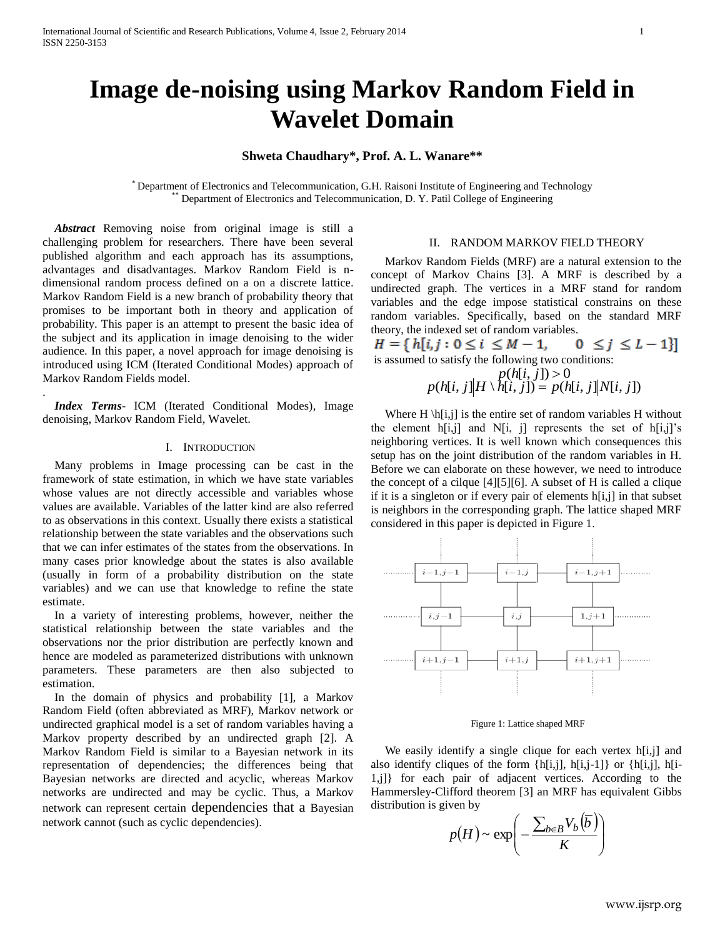# **Image de-noising using Markov Random Field in Wavelet Domain**

## **Shweta Chaudhary\*, Prof. A. L. Wanare\*\***

\* Department of Electronics and Telecommunication, G.H. Raisoni Institute of Engineering and Technology Department of Electronics and Telecommunication, D. Y. Patil College of Engineering

 *Abstract* Removing noise from original image is still a challenging problem for researchers. There have been several published algorithm and each approach has its assumptions, advantages and disadvantages. Markov Random Field is ndimensional random process defined on a on a discrete lattice. Markov Random Field is a new branch of probability theory that promises to be important both in theory and application of probability. This paper is an attempt to present the basic idea of the subject and its application in image denoising to the wider audience. In this paper, a novel approach for image denoising is introduced using ICM (Iterated Conditional Modes) approach of Markov Random Fields model.

 *Index Terms*- ICM (Iterated Conditional Modes), Image denoising, Markov Random Field, Wavelet.

.

### I. INTRODUCTION

 Many problems in Image processing can be cast in the framework of state estimation, in which we have state variables whose values are not directly accessible and variables whose values are available. Variables of the latter kind are also referred to as observations in this context. Usually there exists a statistical relationship between the state variables and the observations such that we can infer estimates of the states from the observations. In many cases prior knowledge about the states is also available (usually in form of a probability distribution on the state variables) and we can use that knowledge to refine the state estimate.

 In a variety of interesting problems, however, neither the statistical relationship between the state variables and the observations nor the prior distribution are perfectly known and hence are modeled as parameterized distributions with unknown parameters. These parameters are then also subjected to estimation.

 In the domain of physics and probability [1], a Markov Random Field (often abbreviated as MRF), Markov network or undirected graphical model is a set of random variables having a Markov property described by an undirected graph [2]. A Markov Random Field is similar to a Bayesian network in its representation of dependencies; the differences being that Bayesian networks are directed and acyclic, whereas Markov networks are undirected and may be cyclic. Thus, a Markov network can represent certain dependencies that a Bayesian network cannot (such as cyclic dependencies).

### II. RANDOM MARKOV FIELD THEORY

Markov Random Fields (MRF) are a natural extension to the concept of Markov Chains [3]. A MRF is described by a undirected graph. The vertices in a MRF stand for random variables and the edge impose statistical constrains on these random variables. Specifically, based on the standard MRF theory, the indexed set of random variables.

 $H = \{ h[i, j : 0 \le i \le M - 1,$  $0 \leq j \leq L-1$ is assumed to satisfy the following two conditions:

$$
p(h[i, j]) > 0
$$
  
 
$$
p(h[i, j]|H \setminus h[i, j]) = p(h[i, j]|N[i, j])
$$

Where  $H \hbar[i,j]$  is the entire set of random variables H without the element  $h[i,j]$  and  $N[i, j]$  represents the set of  $h[i,j]'s$ neighboring vertices. It is well known which consequences this setup has on the joint distribution of the random variables in H. Before we can elaborate on these however, we need to introduce the concept of a cilque [4][5][6]. A subset of H is called a clique if it is a singleton or if every pair of elements h[i,j] in that subset is neighbors in the corresponding graph. The lattice shaped MRF considered in this paper is depicted in Figure 1.



Figure 1: Lattice shaped MRF

We easily identify a single clique for each vertex h[i,j] and also identify cliques of the form  $\{h[i,j], h[i,j-1]\}$  or  $\{h[i,j], h[i-1]\}$ 1,j]} for each pair of adjacent vertices. According to the Hammersley-Clifford theorem [3] an MRF has equivalent Gibbs distribution is given by

$$
p(H) \sim \exp\left(-\frac{\sum_{b \in B} V_b(\overline{b})}{K}\right)
$$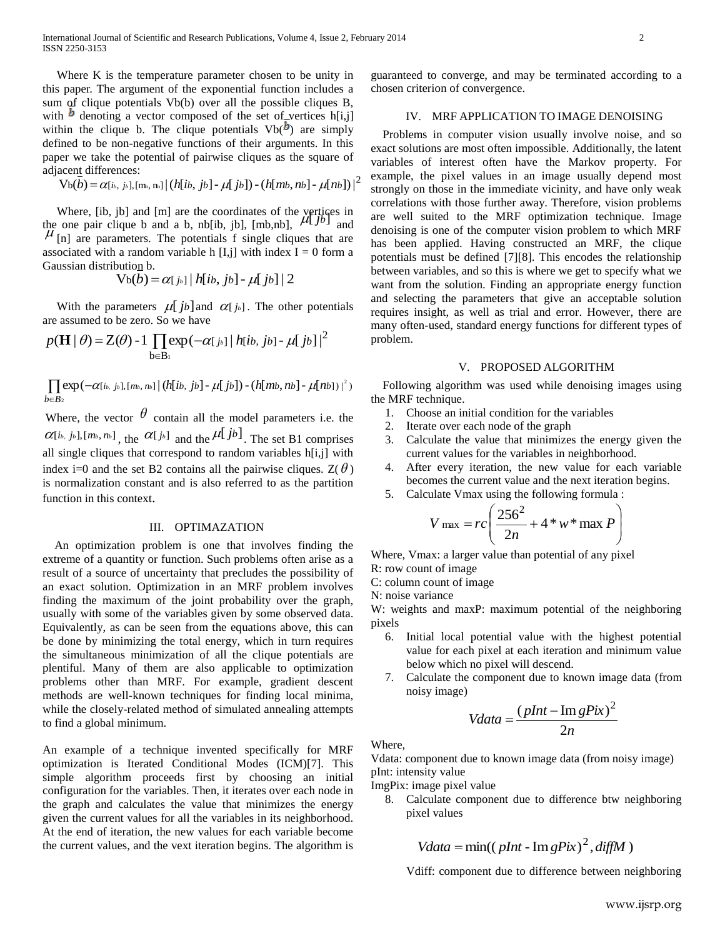Where K is the temperature parameter chosen to be unity in this paper. The argument of the exponential function includes a sum of clique potentials Vb(b) over all the possible cliques B, with  $\mathbf{b}$  denoting a vector composed of the set of vertices h[i,j] within the clique b. The clique potentials  $Vb^{(b)}$  are simply defined to be non-negative functions of their arguments. In this paper we take the potential of pairwise cliques as the square of adjacent differences:

$$
\mathrm{Vb}(\bar{b}) \!=\! \alpha_{[\,i\cdot,\ j\cdot\!,\,],\,[\text{m}_\cdot,\text{n}_\cdot\!]} \! \mid \! (h[\,i\cdot,\ j\cdot\!\cdot\!],\ \mu[\,j\cdot\!]) \! - \! (h[\,m\cdot,\ n\cdot\!\cdot\!],\ \mu[\,n\cdot\!\cdot\!]) \! \mid^2
$$

Where, [ib, jb] and [m] are the coordinates of the vertices in where,  $\begin{bmatrix} 10, 10 \end{bmatrix}$  and  $\begin{bmatrix} 10 \end{bmatrix}$  are the coordinates of the vertices in the one pair clique b and a b, nb[ib, jb],  $\begin{bmatrix} 10, 10 \end{bmatrix}$ ,  $\begin{bmatrix} 4 \end{bmatrix}$  and  $\mu$  [n] are parameters. The potentials f single cliques that are associated with a random variable h [I,j] with index  $I = 0$  form a Gaussian distribution b.

$$
V_b(b) = \alpha[j_b] |h[ib, jb] - \mu[j_b]| 2
$$

With the parameters  $\mu[jb]$  and  $\alpha[j_b]$ . The other potentials are assumed to be zero. So we have

$$
p(\mathbf{H} \mid \theta) = Z(\theta) - 1 \prod_{b \in B_1} \exp(-\alpha[j_b] | h[ib, jb] - \mu[jb]|^2
$$

 $\prod \exp(-\alpha [i_{b.},j_{b}], [m_{b},n_{b}] \, \big\vert \, \big( h[i b,\,j b] \, \text{-}\, \mu [\,j b] \big) \, \text{-}\, \big( h[m b, n b] \, \text{-}\, \mu [n b] \, \big) \, \big\vert^2 \big)$  $b \in B_2$ 

Where, the vector  $\theta$  contain all the model parameters i.e. the  $\alpha$ [*ib*, *j*<sup>*b*</sup>], [*mb*, *n*<sup>*b*</sup>]<sub></sub>, the  $\alpha$ [*j*<sup>*b*</sup>]<sub></sub> and the  $\mu$ [*jb*]<sub></sub>. The set B1 comprises all single cliques that correspond to random variables  $h[i,j]$  with index i=0 and the set B2 contains all the pairwise cliques.  $Z(\theta)$ is normalization constant and is also referred to as the partition function in this context.

## III. OPTIMAZATION

 An optimization problem is one that involves finding the extreme of a quantity or function. Such problems often arise as a result of a source of uncertainty that precludes the possibility of an exact solution. Optimization in an MRF problem involves finding the maximum of the joint probability over the graph, usually with some of the variables given by some observed data. Equivalently, as can be seen from the equations above, this can be done by minimizing the total energy, which in turn requires the simultaneous minimization of all the clique potentials are plentiful. Many of them are also applicable to optimization problems other than MRF. For example, gradient descent methods are well-known techniques for finding local minima, while the closely-related method of simulated annealing attempts to find a global minimum.

An example of a technique invented specifically for MRF optimization is Iterated Conditional Modes (ICM)[7]. This simple algorithm proceeds first by choosing an initial configuration for the variables. Then, it iterates over each node in the graph and calculates the value that minimizes the energy given the current values for all the variables in its neighborhood. At the end of iteration, the new values for each variable become the current values, and the vext iteration begins. The algorithm is

guaranteed to converge, and may be terminated according to a chosen criterion of convergence.

## IV. MRF APPLICATION TO IMAGE DENOISING

 Problems in computer vision usually involve noise, and so exact solutions are most often impossible. Additionally, the latent variables of interest often have the Markov property. For example, the pixel values in an image usually depend most strongly on those in the immediate vicinity, and have only weak correlations with those further away. Therefore, vision problems are well suited to the MRF optimization technique. Image denoising is one of the computer vision problem to which MRF has been applied. Having constructed an MRF, the clique potentials must be defined [7][8]. This encodes the relationship between variables, and so this is where we get to specify what we want from the solution. Finding an appropriate energy function and selecting the parameters that give an acceptable solution requires insight, as well as trial and error. However, there are many often-used, standard energy functions for different types of problem.

#### V. PROPOSED ALGORITHM

 Following algorithm was used while denoising images using the MRF technique.

- 1. Choose an initial condition for the variables
- 2. Iterate over each node of the graph
- 3. Calculate the value that minimizes the energy given the current values for the variables in neighborhood.
- 4. After every iteration, the new value for each variable becomes the current value and the next iteration begins.
- 5. Calculate Vmax using the following formula :

$$
V_{\text{max}} = rc \left( \frac{256^2}{2n} + 4 * w * \text{max } P \right)
$$

Where, Vmax: a larger value than potential of any pixel

- R: row count of image
- C: column count of image
- N: noise variance

W: weights and maxP: maximum potential of the neighboring pixels

- 6. Initial local potential value with the highest potential value for each pixel at each iteration and minimum value below which no pixel will descend.
- 7. Calculate the component due to known image data (from noisy image)

$$
Vdata = \frac{(plnt - \text{Im } gPix)^2}{2n}
$$

Where,

Vdata: component due to known image data (from noisy image) pInt: intensity value

ImgPix: image pixel value

8. Calculate component due to difference btw neighboring pixel values

$$
Vdata = \min((\text{plnt} - \text{Im}\,\text{g} \text{Pix})^2, \text{diffM})
$$

Vdiff: component due to difference between neighboring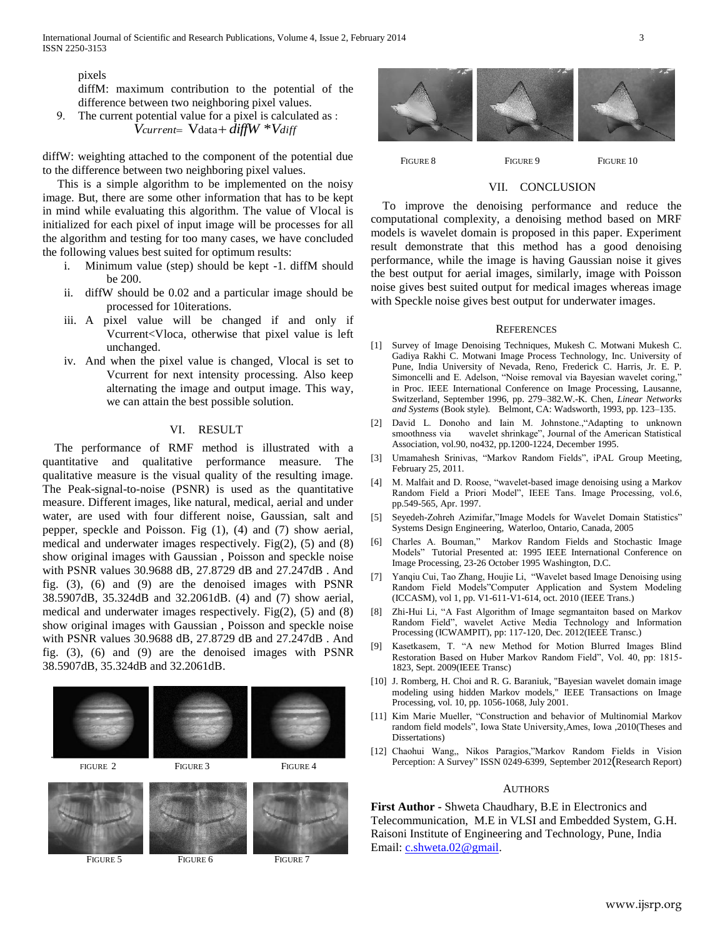pixels

diffM: maximum contribution to the potential of the difference between two neighboring pixel values.

9. The current potential value for a pixel is calculated as : *Vcurrent* Vdata *diffW* \**Vdiff*

diffW: weighting attached to the component of the potential due to the difference between two neighboring pixel values.

 This is a simple algorithm to be implemented on the noisy image. But, there are some other information that has to be kept in mind while evaluating this algorithm. The value of Vlocal is initialized for each pixel of input image will be processes for all the algorithm and testing for too many cases, we have concluded the following values best suited for optimum results:

- i. Minimum value (step) should be kept -1. diffM should be 200.
- ii. diffW should be 0.02 and a particular image should be processed for 10iterations.
- iii. A pixel value will be changed if and only if Vcurrent<Vloca, otherwise that pixel value is left unchanged.
- iv. And when the pixel value is changed, Vlocal is set to Vcurrent for next intensity processing. Also keep alternating the image and output image. This way, we can attain the best possible solution.

## VI. RESULT

 The performance of RMF method is illustrated with a quantitative and qualitative performance measure. The qualitative measure is the visual quality of the resulting image. The Peak-signal-to-noise (PSNR) is used as the quantitative measure. Different images, like natural, medical, aerial and under water, are used with four different noise, Gaussian, salt and pepper, speckle and Poisson. Fig (1), (4) and (7) show aerial, medical and underwater images respectively. Fig(2), (5) and (8) show original images with Gaussian , Poisson and speckle noise with PSNR values 30.9688 dB, 27.8729 dB and 27.247dB . And fig. (3), (6) and (9) are the denoised images with PSNR 38.5907dB, 35.324dB and 32.2061dB. (4) and (7) show aerial, medical and underwater images respectively. Fig(2), (5) and (8) show original images with Gaussian , Poisson and speckle noise with PSNR values 30.9688 dB, 27.8729 dB and 27.247dB . And fig. (3), (6) and (9) are the denoised images with PSNR 38.5907dB, 35.324dB and 32.2061dB.





FIGURE 8 **FIGURE 9** FIGURE 10

## VII. CONCLUSION

 To improve the denoising performance and reduce the computational complexity, a denoising method based on MRF models is wavelet domain is proposed in this paper. Experiment result demonstrate that this method has a good denoising performance, while the image is having Gaussian noise it gives the best output for aerial images, similarly, image with Poisson noise gives best suited output for medical images whereas image with Speckle noise gives best output for underwater images.

#### **REFERENCES**

- [1] Survey of Image Denoising Techniques, Mukesh C. Motwani Mukesh C. Gadiya Rakhi C. Motwani Image Process Technology, Inc. University of Pune, India University of Nevada, Reno, Frederick C. Harris, Jr. E. P. Simoncelli and E. Adelson, "Noise removal via Bayesian wavelet coring," in Proc. IEEE International Conference on Image Processing, Lausanne, Switzerland, September 1996, pp. 279–382.W.-K. Chen, *Linear Networks and Systems* (Book style)*.* Belmont, CA: Wadsworth, 1993, pp. 123–135.
- [2] David L. Donoho and Iain M. Johnstone.,"Adapting to unknown smoothness via wavelet shrinkage", Journal of the American Statistical Association, vol.90, no432, pp.1200-1224, December 1995.
- [3] Umamahesh Srinivas, "Markov Random Fields", iPAL Group Meeting, February 25, 2011.
- [4] M. Malfait and D. Roose, "wavelet-based image denoising using a Markov Random Field a Priori Model", IEEE Tans. Image Processing, vol.6, pp.549-565, Apr. 1997.
- [5] Seyedeh-Zohreh Azimifar,"Image Models for Wavelet Domain Statistics" Systems Design Engineering, Waterloo, Ontario, Canada, 2005
- [6] Charles A. Bouman," Markov Random Fields and Stochastic Image Models" Tutorial Presented at: 1995 IEEE International Conference on Image Processing, 23-26 October 1995 Washington, D.C.
- [7] Yanqiu Cui, Tao Zhang, Houjie Li, "Wavelet based Image Denoising using Random Field Models"Computer Application and System Modeling (ICCASM), vol 1, pp. V1-611-V1-614, oct. 2010 (IEEE Trans.)
- [8] Zhi-Hui Li, "A Fast Algorithm of Image segmantaiton based on Markov Random Field", wavelet Active Media Technology and Information Processing (ICWAMPIT), pp: 117-120, Dec. 2012(IEEE Transc.)
- [9] Kasetkasem, T. "A new Method for Motion Blurred Images Blind Restoration Based on Huber Markov Random Field", Vol. 40, pp: 1815- 1823, Sept. 2009(IEEE Transc)
- [10] J. Romberg, H. Choi and R. G. Baraniuk, "Bayesian wavelet domain image modeling using hidden Markov models," IEEE Transactions on Image Processing, vol. 10, pp. 1056-1068, July 2001.
- [11] Kim Marie Mueller, "Construction and behavior of Multinomial Markov random field models", Iowa State University,Ames, Iowa ,2010(Theses and Dissertations)
- [12] Chaohui Wang,, Nikos Paragios,"Markov Random Fields in Vision Perception: A Survey" ISSN 0249-6399, September 2012(Research Report)

#### **AUTHORS**

**First Author -** Shweta Chaudhary, B.E in Electronics and Telecommunication, M.E in VLSI and Embedded System, G.H. Raisoni Institute of Engineering and Technology, Pune, India Email: [c.shweta.02@gmail.](mailto:c.shweta.02@gmail)